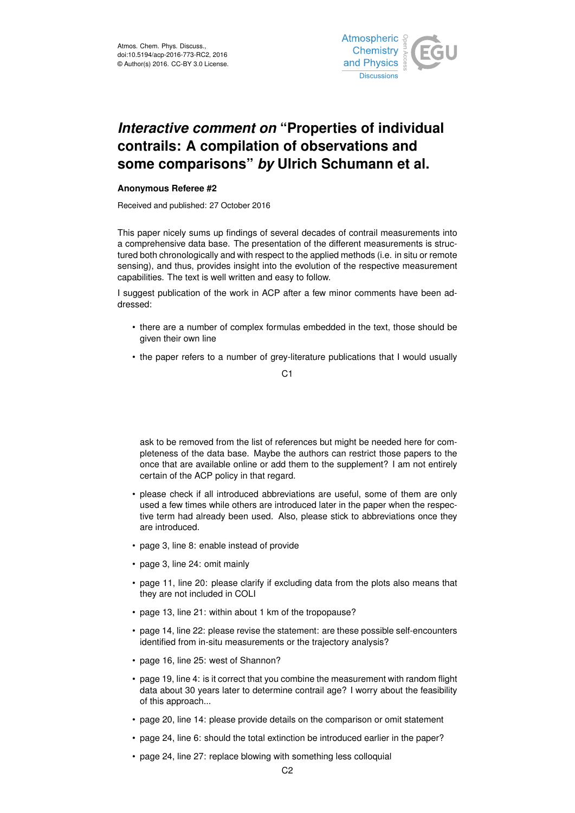

## *Interactive comment on* **"Properties of individual contrails: A compilation of observations and some comparisons"** *by* **Ulrich Schumann et al.**

## **Anonymous Referee #2**

Received and published: 27 October 2016

This paper nicely sums up findings of several decades of contrail measurements into a comprehensive data base. The presentation of the different measurements is structured both chronologically and with respect to the applied methods (i.e. in situ or remote sensing), and thus, provides insight into the evolution of the respective measurement capabilities. The text is well written and easy to follow.

I suggest publication of the work in ACP after a few minor comments have been addressed:

- there are a number of complex formulas embedded in the text, those should be given their own line
- the paper refers to a number of grey-literature publications that I would usually

C1

ask to be removed from the list of references but might be needed here for completeness of the data base. Maybe the authors can restrict those papers to the once that are available online or add them to the supplement? I am not entirely certain of the ACP policy in that regard.

- please check if all introduced abbreviations are useful, some of them are only used a few times while others are introduced later in the paper when the respective term had already been used. Also, please stick to abbreviations once they are introduced.
- page 3, line 8: enable instead of provide
- page 3, line 24: omit mainly
- page 11, line 20: please clarify if excluding data from the plots also means that they are not included in COLI
- page 13, line 21: within about 1 km of the tropopause?
- page 14, line 22: please revise the statement: are these possible self-encounters identified from in-situ measurements or the trajectory analysis?
- page 16, line 25: west of Shannon?
- page 19, line 4: is it correct that you combine the measurement with random flight data about 30 years later to determine contrail age? I worry about the feasibility of this approach...
- page 20, line 14: please provide details on the comparison or omit statement
- page 24, line 6: should the total extinction be introduced earlier in the paper?
- page 24, line 27: replace blowing with something less colloquial